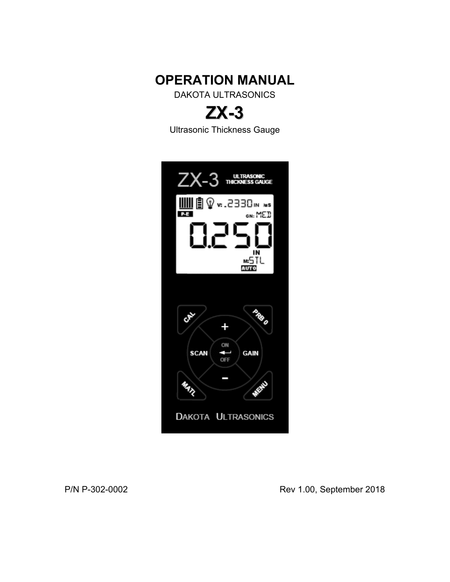

DAKOTA ULTRASONICS



Ultrasonic Thickness Gauge



P/N P-302-0002 Rev 1.00, September 2018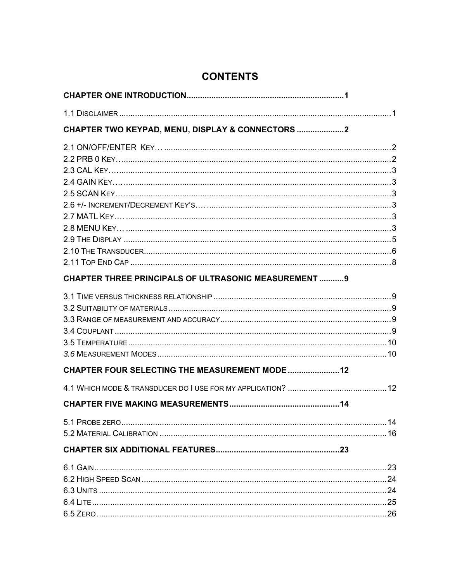| CHAPTER TWO KEYPAD, MENU, DISPLAY & CONNECTORS 2            |  |
|-------------------------------------------------------------|--|
|                                                             |  |
|                                                             |  |
|                                                             |  |
|                                                             |  |
|                                                             |  |
|                                                             |  |
|                                                             |  |
|                                                             |  |
|                                                             |  |
|                                                             |  |
| <b>CHAPTER THREE PRINCIPALS OF ULTRASONIC MEASUREMENT 9</b> |  |
|                                                             |  |
|                                                             |  |
|                                                             |  |
|                                                             |  |
|                                                             |  |
|                                                             |  |
| <b>CHAPTER FOUR SELECTING THE MEASUREMENT MODE 12</b>       |  |
|                                                             |  |
|                                                             |  |
|                                                             |  |
|                                                             |  |
|                                                             |  |
|                                                             |  |
|                                                             |  |
|                                                             |  |
|                                                             |  |
|                                                             |  |

# **CONTENTS**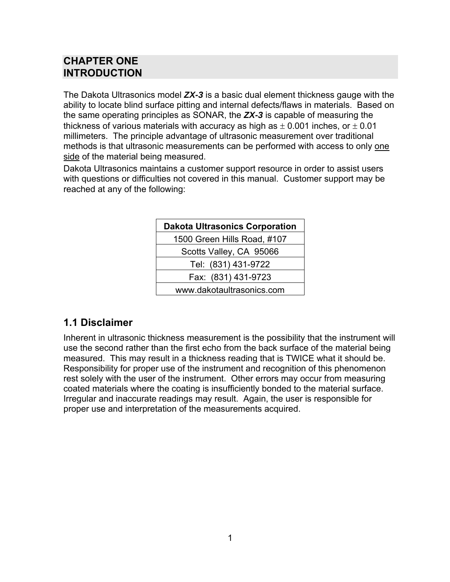## **CHAPTER ONE INTRODUCTION**

The Dakota Ultrasonics model *ZX-3* is a basic dual element thickness gauge with the ability to locate blind surface pitting and internal defects/flaws in materials. Based on the same operating principles as SONAR, the *ZX-3* is capable of measuring the thickness of various materials with accuracy as high as  $\pm$  0.001 inches, or  $\pm$  0.01 millimeters. The principle advantage of ultrasonic measurement over traditional methods is that ultrasonic measurements can be performed with access to only one side of the material being measured.

Dakota Ultrasonics maintains a customer support resource in order to assist users with questions or difficulties not covered in this manual. Customer support may be reached at any of the following:

| <b>Dakota Ultrasonics Corporation</b> |
|---------------------------------------|
| 1500 Green Hills Road, #107           |
| Scotts Valley, CA 95066               |
| Tel: (831) 431-9722                   |
| Fax: (831) 431-9723                   |
| www.dakotaultrasonics.com             |

### **1.1 Disclaimer**

Inherent in ultrasonic thickness measurement is the possibility that the instrument will use the second rather than the first echo from the back surface of the material being measured. This may result in a thickness reading that is TWICE what it should be. Responsibility for proper use of the instrument and recognition of this phenomenon rest solely with the user of the instrument. Other errors may occur from measuring coated materials where the coating is insufficiently bonded to the material surface. Irregular and inaccurate readings may result. Again, the user is responsible for proper use and interpretation of the measurements acquired.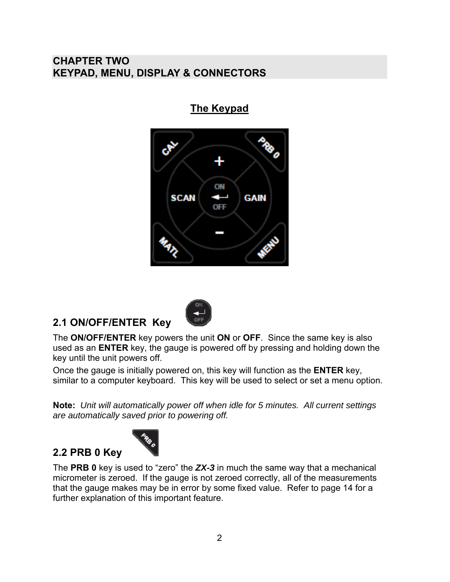## **CHAPTER TWO KEYPAD, MENU, DISPLAY & CONNECTORS**

**The Keypad**



## **2.1 ON/OFF/ENTER Key**

**2.2 PRB 0 Key** 



The **ON/OFF/ENTER** key powers the unit **ON** or **OFF**. Since the same key is also used as an **ENTER** key, the gauge is powered off by pressing and holding down the key until the unit powers off.

Once the gauge is initially powered on, this key will function as the **ENTER** key, similar to a computer keyboard. This key will be used to select or set a menu option.

**Note:** *Unit will automatically power off when idle for 5 minutes. All current settings are automatically saved prior to powering off.*



The **PRB 0** key is used to "zero" the *ZX-3* in much the same way that a mechanical micrometer is zeroed. If the gauge is not zeroed correctly, all of the measurements that the gauge makes may be in error by some fixed value. Refer to page 14 for a further explanation of this important feature.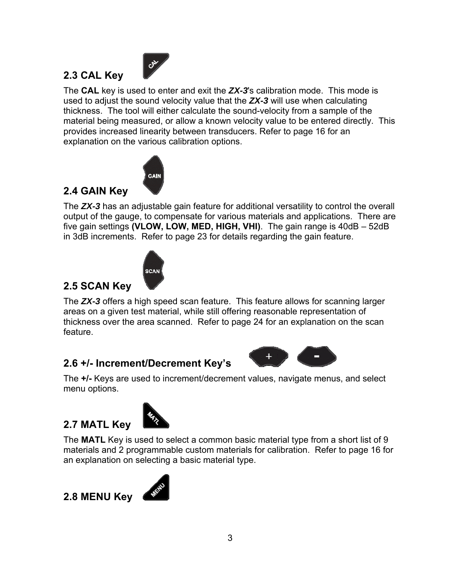

The **CAL** key is used to enter and exit the *ZX-3*'s calibration mode. This mode is used to adjust the sound velocity value that the *ZX-3* will use when calculating thickness. The tool will either calculate the sound-velocity from a sample of the material being measured, or allow a known velocity value to be entered directly. This provides increased linearity between transducers. Refer to page 16 for an explanation on the various calibration options.



## **2.4 GAIN Key**

**2.3 CAL Key** 

The *ZX-3* has an adjustable gain feature for additional versatility to control the overall output of the gauge, to compensate for various materials and applications. There are five gain settings **(VLOW, LOW, MED, HIGH, VHI)**. The gain range is 40dB – 52dB in 3dB increments. Refer to page 23 for details regarding the gain feature.



## **2.5 SCAN Key**

The *ZX-3* offers a high speed scan feature. This feature allows for scanning larger areas on a given test material, while still offering reasonable representation of thickness over the area scanned. Refer to page 24 for an explanation on the scan feature.

## **2.6 +/- Increment/Decrement Key's**



The **+/-** Keys are used to increment/decrement values, navigate menus, and select menu options.

## **2.7 MATL Key**



The **MATL** Key is used to select a common basic material type from a short list of 9 materials and 2 programmable custom materials for calibration. Refer to page 16 for an explanation on selecting a basic material type.



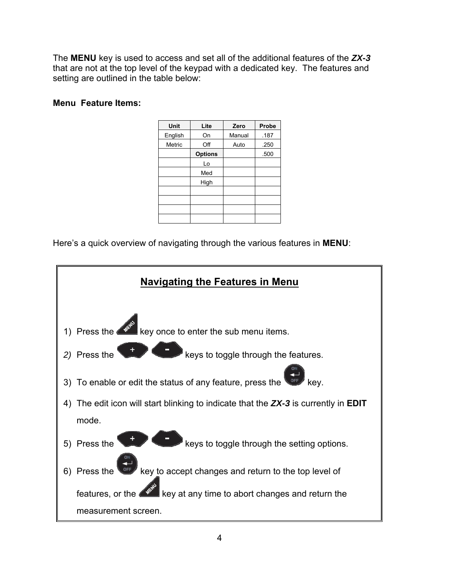The **MENU** key is used to access and set all of the additional features of the *ZX-3* that are not at the top level of the keypad with a dedicated key. The features and setting are outlined in the table below:

#### **Menu Feature Items:**

| Unit<br>Lite         | Probe<br>Zero  |
|----------------------|----------------|
| English<br>On        | .187<br>Manual |
| Off<br><b>Metric</b> | Auto<br>.250   |
| <b>Options</b>       | .500           |
| Lo                   |                |
| Med                  |                |
| High                 |                |
|                      |                |
|                      |                |
|                      |                |
|                      |                |
|                      |                |

Here's a quick overview of navigating through the various features in **MENU**:

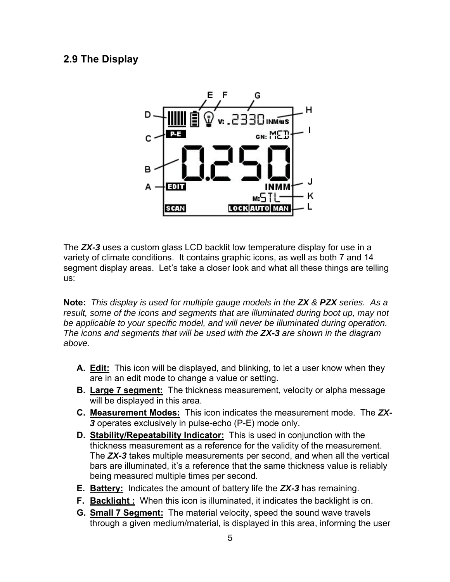### **2.9 The Display**



The *ZX-3* uses a custom glass LCD backlit low temperature display for use in a variety of climate conditions. It contains graphic icons, as well as both 7 and 14 segment display areas. Let's take a closer look and what all these things are telling us:

**Note:** *This display is used for multiple gauge models in the ZX & PZX series. As a result, some of the icons and segments that are illuminated during boot up, may not be applicable to your specific model, and will never be illuminated during operation. The icons and segments that will be used with the ZX-3 are shown in the diagram above.*

- **A. Edit:** This icon will be displayed, and blinking, to let a user know when they are in an edit mode to change a value or setting.
- **B. Large 7 segment:** The thickness measurement, velocity or alpha message will be displayed in this area.
- **C. Measurement Modes:** This icon indicates the measurement mode. The *ZX-3* operates exclusively in pulse-echo (P-E) mode only.
- **D. Stability/Repeatability Indicator:** This is used in conjunction with the thickness measurement as a reference for the validity of the measurement. The *ZX-3* takes multiple measurements per second, and when all the vertical bars are illuminated, it's a reference that the same thickness value is reliably being measured multiple times per second.
- **E. Battery:** Indicates the amount of battery life the *ZX-3* has remaining.
- **F. Backlight:** When this icon is illuminated, it indicates the backlight is on.
- **G. Small 7 Segment:** The material velocity, speed the sound wave travels through a given medium/material, is displayed in this area, informing the user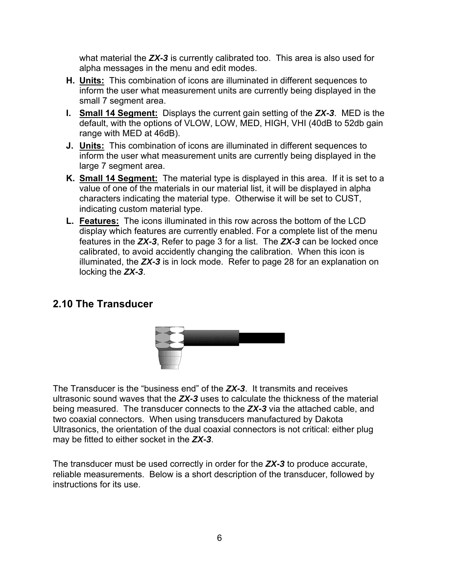what material the *ZX-3* is currently calibrated too. This area is also used for alpha messages in the menu and edit modes.

- **H. Units:** This combination of icons are illuminated in different sequences to inform the user what measurement units are currently being displayed in the small 7 segment area.
- **I. Small 14 Segment:** Displays the current gain setting of the *ZX-3*. MED is the default, with the options of VLOW, LOW, MED, HIGH, VHI (40dB to 52db gain range with MED at 46dB).
- **J. Units:** This combination of icons are illuminated in different sequences to inform the user what measurement units are currently being displayed in the large 7 segment area.
- **K. Small 14 Segment:** The material type is displayed in this area. If it is set to a value of one of the materials in our material list, it will be displayed in alpha characters indicating the material type. Otherwise it will be set to CUST, indicating custom material type.
- **L. Features:** The icons illuminated in this row across the bottom of the LCD display which features are currently enabled. For a complete list of the menu features in the *ZX-3*, Refer to page 3 for a list. The *ZX-3* can be locked once calibrated, to avoid accidently changing the calibration. When this icon is illuminated, the *ZX-3* is in lock mode. Refer to page 28 for an explanation on locking the *ZX-3*.

### **2.10 The Transducer**



The Transducer is the "business end" of the *ZX-3*. It transmits and receives ultrasonic sound waves that the *ZX-3* uses to calculate the thickness of the material being measured. The transducer connects to the *ZX-3* via the attached cable, and two coaxial connectors. When using transducers manufactured by Dakota Ultrasonics, the orientation of the dual coaxial connectors is not critical: either plug may be fitted to either socket in the *ZX-3*.

The transducer must be used correctly in order for the *ZX-3* to produce accurate, reliable measurements. Below is a short description of the transducer, followed by instructions for its use.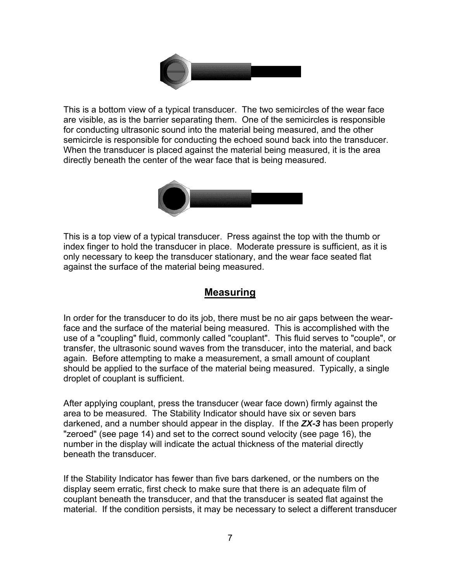

This is a bottom view of a typical transducer. The two semicircles of the wear face are visible, as is the barrier separating them. One of the semicircles is responsible for conducting ultrasonic sound into the material being measured, and the other semicircle is responsible for conducting the echoed sound back into the transducer. When the transducer is placed against the material being measured, it is the area directly beneath the center of the wear face that is being measured.



This is a top view of a typical transducer. Press against the top with the thumb or index finger to hold the transducer in place. Moderate pressure is sufficient, as it is only necessary to keep the transducer stationary, and the wear face seated flat against the surface of the material being measured.

### **Measuring**

In order for the transducer to do its job, there must be no air gaps between the wearface and the surface of the material being measured. This is accomplished with the use of a "coupling" fluid, commonly called "couplant". This fluid serves to "couple", or transfer, the ultrasonic sound waves from the transducer, into the material, and back again. Before attempting to make a measurement, a small amount of couplant should be applied to the surface of the material being measured. Typically, a single droplet of couplant is sufficient.

After applying couplant, press the transducer (wear face down) firmly against the area to be measured. The Stability Indicator should have six or seven bars darkened, and a number should appear in the display. If the *ZX-3* has been properly "zeroed" (see page 14) and set to the correct sound velocity (see page 16), the number in the display will indicate the actual thickness of the material directly beneath the transducer.

If the Stability Indicator has fewer than five bars darkened, or the numbers on the display seem erratic, first check to make sure that there is an adequate film of couplant beneath the transducer, and that the transducer is seated flat against the material. If the condition persists, it may be necessary to select a different transducer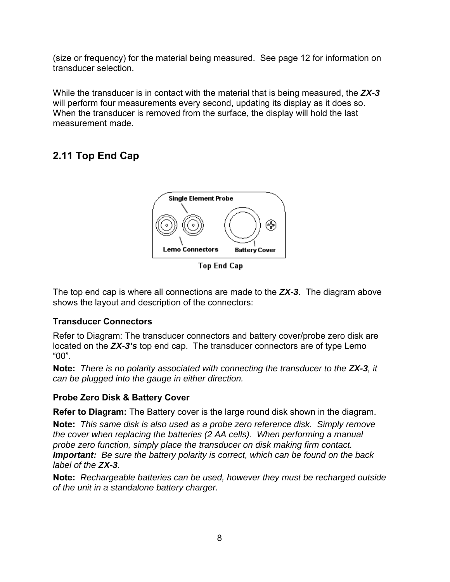(size or frequency) for the material being measured. See page 12 for information on transducer selection.

While the transducer is in contact with the material that is being measured, the *ZX-3* will perform four measurements every second, updating its display as it does so. When the transducer is removed from the surface, the display will hold the last measurement made.

# **2.11 Top End Cap**



Top End Cap

The top end cap is where all connections are made to the *ZX-3*. The diagram above shows the layout and description of the connectors:

### **Transducer Connectors**

Refer to Diagram: The transducer connectors and battery cover/probe zero disk are located on the *ZX-3's* top end cap. The transducer connectors are of type Lemo "00".

**Note:** *There is no polarity associated with connecting the transducer to the ZX-3, it can be plugged into the gauge in either direction.*

### **Probe Zero Disk & Battery Cover**

**Refer to Diagram:** The Battery cover is the large round disk shown in the diagram.

**Note:** *This same disk is also used as a probe zero reference disk. Simply remove the cover when replacing the batteries (2 AA cells). When performing a manual probe zero function, simply place the transducer on disk making firm contact. Important: Be sure the battery polarity is correct, which can be found on the back label of the ZX-3.*

**Note:** *Rechargeable batteries can be used, however they must be recharged outside of the unit in a standalone battery charger.*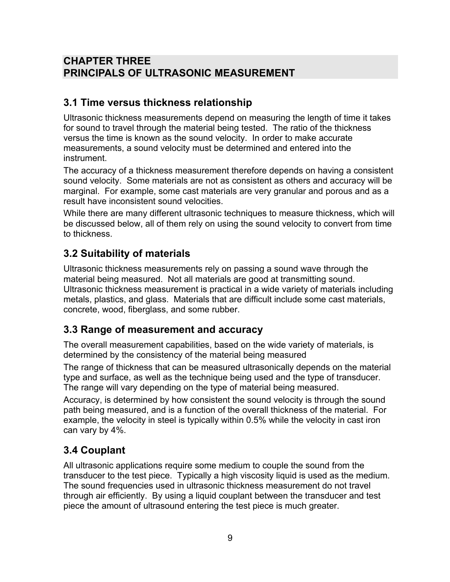## **CHAPTER THREE PRINCIPALS OF ULTRASONIC MEASUREMENT**

### **3.1 Time versus thickness relationship**

Ultrasonic thickness measurements depend on measuring the length of time it takes for sound to travel through the material being tested. The ratio of the thickness versus the time is known as the sound velocity. In order to make accurate measurements, a sound velocity must be determined and entered into the instrument.

The accuracy of a thickness measurement therefore depends on having a consistent sound velocity. Some materials are not as consistent as others and accuracy will be marginal. For example, some cast materials are very granular and porous and as a result have inconsistent sound velocities.

While there are many different ultrasonic techniques to measure thickness, which will be discussed below, all of them rely on using the sound velocity to convert from time to thickness.

## **3.2 Suitability of materials**

Ultrasonic thickness measurements rely on passing a sound wave through the material being measured. Not all materials are good at transmitting sound. Ultrasonic thickness measurement is practical in a wide variety of materials including metals, plastics, and glass. Materials that are difficult include some cast materials, concrete, wood, fiberglass, and some rubber.

### **3.3 Range of measurement and accuracy**

The overall measurement capabilities, based on the wide variety of materials, is determined by the consistency of the material being measured

The range of thickness that can be measured ultrasonically depends on the material type and surface, as well as the technique being used and the type of transducer. The range will vary depending on the type of material being measured.

Accuracy, is determined by how consistent the sound velocity is through the sound path being measured, and is a function of the overall thickness of the material. For example, the velocity in steel is typically within 0.5% while the velocity in cast iron can vary by 4%.

## **3.4 Couplant**

All ultrasonic applications require some medium to couple the sound from the transducer to the test piece. Typically a high viscosity liquid is used as the medium. The sound frequencies used in ultrasonic thickness measurement do not travel through air efficiently. By using a liquid couplant between the transducer and test piece the amount of ultrasound entering the test piece is much greater.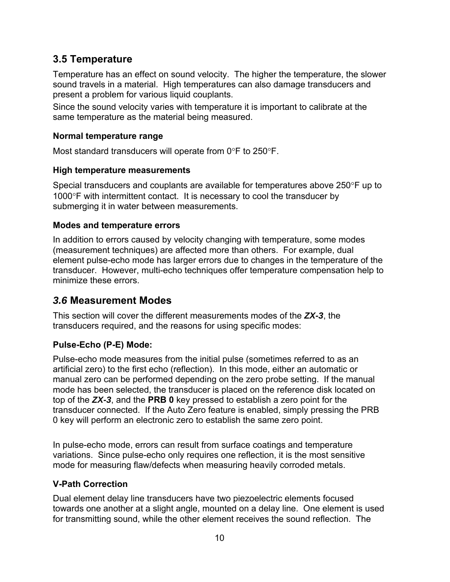### **3.5 Temperature**

Temperature has an effect on sound velocity. The higher the temperature, the slower sound travels in a material. High temperatures can also damage transducers and present a problem for various liquid couplants.

Since the sound velocity varies with temperature it is important to calibrate at the same temperature as the material being measured.

### **Normal temperature range**

Most standard transducers will operate from  $0^{\circ}$ F to 250 $^{\circ}$ F.

### **High temperature measurements**

Special transducers and couplants are available for temperatures above  $250^{\circ}$ F up to 1000°F with intermittent contact. It is necessary to cool the transducer by submerging it in water between measurements.

### **Modes and temperature errors**

In addition to errors caused by velocity changing with temperature, some modes (measurement techniques) are affected more than others. For example, dual element pulse-echo mode has larger errors due to changes in the temperature of the transducer. However, multi-echo techniques offer temperature compensation help to minimize these errors.

## *3.6* **Measurement Modes**

This section will cover the different measurements modes of the *ZX-3*, the transducers required, and the reasons for using specific modes:

### **Pulse-Echo (P-E) Mode:**

Pulse-echo mode measures from the initial pulse (sometimes referred to as an artificial zero) to the first echo (reflection). In this mode, either an automatic or manual zero can be performed depending on the zero probe setting. If the manual mode has been selected, the transducer is placed on the reference disk located on top of the *ZX-3*, and the **PRB 0** key pressed to establish a zero point for the transducer connected. If the Auto Zero feature is enabled, simply pressing the PRB 0 key will perform an electronic zero to establish the same zero point.

In pulse-echo mode, errors can result from surface coatings and temperature variations. Since pulse-echo only requires one reflection, it is the most sensitive mode for measuring flaw/defects when measuring heavily corroded metals.

### **V-Path Correction**

Dual element delay line transducers have two piezoelectric elements focused towards one another at a slight angle, mounted on a delay line. One element is used for transmitting sound, while the other element receives the sound reflection. The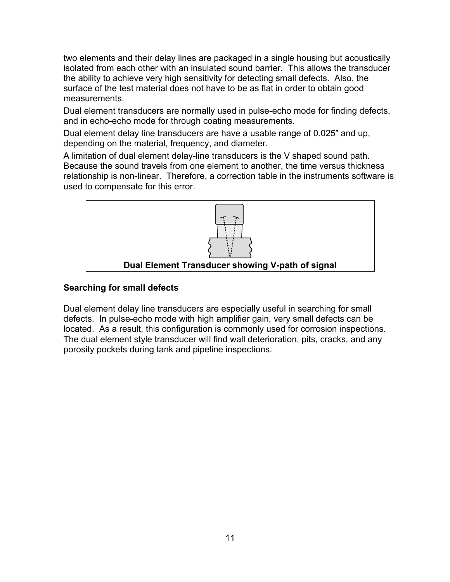two elements and their delay lines are packaged in a single housing but acoustically isolated from each other with an insulated sound barrier. This allows the transducer the ability to achieve very high sensitivity for detecting small defects. Also, the surface of the test material does not have to be as flat in order to obtain good measurements.

Dual element transducers are normally used in pulse-echo mode for finding defects, and in echo-echo mode for through coating measurements.

Dual element delay line transducers are have a usable range of 0.025" and up, depending on the material, frequency, and diameter.

A limitation of dual element delay-line transducers is the V shaped sound path. Because the sound travels from one element to another, the time versus thickness relationship is non-linear. Therefore, a correction table in the instruments software is used to compensate for this error.



#### **Searching for small defects**

Dual element delay line transducers are especially useful in searching for small defects. In pulse-echo mode with high amplifier gain, very small defects can be located. As a result, this configuration is commonly used for corrosion inspections. The dual element style transducer will find wall deterioration, pits, cracks, and any porosity pockets during tank and pipeline inspections.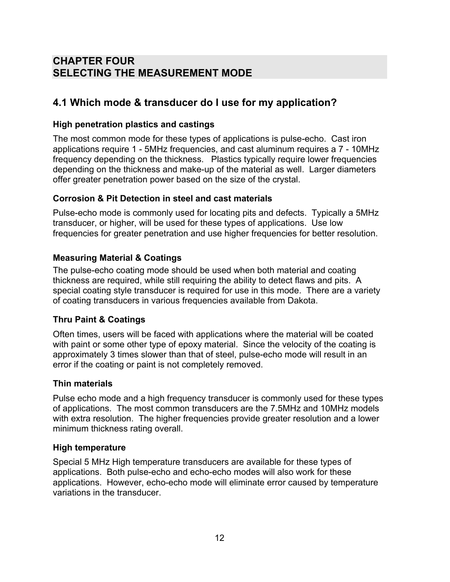## **CHAPTER FOUR SELECTING THE MEASUREMENT MODE**

## **4.1 Which mode & transducer do I use for my application?**

### **High penetration plastics and castings**

The most common mode for these types of applications is pulse-echo. Cast iron applications require 1 - 5MHz frequencies, and cast aluminum requires a 7 - 10MHz frequency depending on the thickness. Plastics typically require lower frequencies depending on the thickness and make-up of the material as well. Larger diameters offer greater penetration power based on the size of the crystal.

#### **Corrosion & Pit Detection in steel and cast materials**

Pulse-echo mode is commonly used for locating pits and defects. Typically a 5MHz transducer, or higher, will be used for these types of applications. Use low frequencies for greater penetration and use higher frequencies for better resolution.

### **Measuring Material & Coatings**

The pulse-echo coating mode should be used when both material and coating thickness are required, while still requiring the ability to detect flaws and pits. A special coating style transducer is required for use in this mode. There are a variety of coating transducers in various frequencies available from Dakota.

### **Thru Paint & Coatings**

Often times, users will be faced with applications where the material will be coated with paint or some other type of epoxy material. Since the velocity of the coating is approximately 3 times slower than that of steel, pulse-echo mode will result in an error if the coating or paint is not completely removed.

#### **Thin materials**

Pulse echo mode and a high frequency transducer is commonly used for these types of applications. The most common transducers are the 7.5MHz and 10MHz models with extra resolution. The higher frequencies provide greater resolution and a lower minimum thickness rating overall.

#### **High temperature**

Special 5 MHz High temperature transducers are available for these types of applications. Both pulse-echo and echo-echo modes will also work for these applications. However, echo-echo mode will eliminate error caused by temperature variations in the transducer.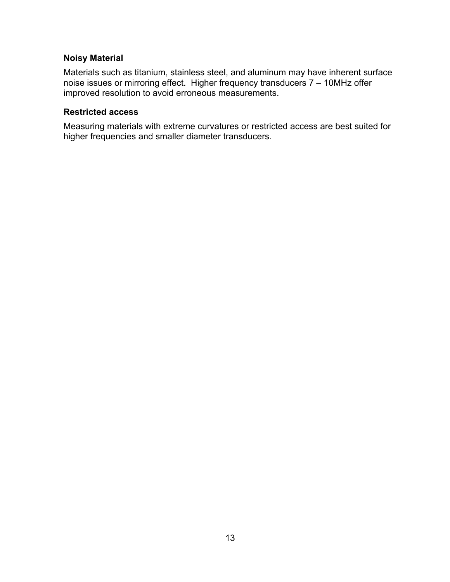### **Noisy Material**

Materials such as titanium, stainless steel, and aluminum may have inherent surface noise issues or mirroring effect. Higher frequency transducers 7 – 10MHz offer improved resolution to avoid erroneous measurements.

#### **Restricted access**

Measuring materials with extreme curvatures or restricted access are best suited for higher frequencies and smaller diameter transducers.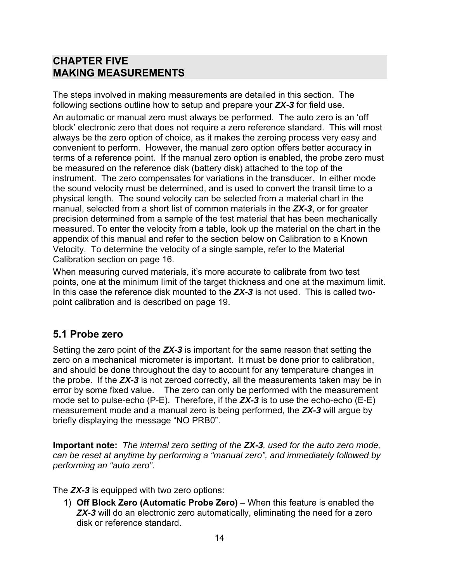### **CHAPTER FIVE MAKING MEASUREMENTS**

The steps involved in making measurements are detailed in this section. The following sections outline how to setup and prepare your *ZX-3* for field use.

An automatic or manual zero must always be performed. The auto zero is an 'off block' electronic zero that does not require a zero reference standard. This will most always be the zero option of choice, as it makes the zeroing process very easy and convenient to perform. However, the manual zero option offers better accuracy in terms of a reference point. If the manual zero option is enabled, the probe zero must be measured on the reference disk (battery disk) attached to the top of the instrument. The zero compensates for variations in the transducer. In either mode the sound velocity must be determined, and is used to convert the transit time to a physical length. The sound velocity can be selected from a material chart in the manual, selected from a short list of common materials in the *ZX-3*, or for greater precision determined from a sample of the test material that has been mechanically measured. To enter the velocity from a table, look up the material on the chart in the appendix of this manual and refer to the section below on Calibration to a Known Velocity. To determine the velocity of a single sample, refer to the Material Calibration section on page 16.

When measuring curved materials, it's more accurate to calibrate from two test points, one at the minimum limit of the target thickness and one at the maximum limit. In this case the reference disk mounted to the *ZX-3* is not used. This is called twopoint calibration and is described on page 19.

### **5.1 Probe zero**

Setting the zero point of the *ZX-3* is important for the same reason that setting the zero on a mechanical micrometer is important. It must be done prior to calibration, and should be done throughout the day to account for any temperature changes in the probe. If the *ZX-3* is not zeroed correctly, all the measurements taken may be in error by some fixed value. The zero can only be performed with the measurement mode set to pulse-echo (P-E). Therefore, if the *ZX-3* is to use the echo-echo (E-E) measurement mode and a manual zero is being performed, the *ZX-3* will argue by briefly displaying the message "NO PRB0".

**Important note:** *The internal zero setting of the ZX-3, used for the auto zero mode, can be reset at anytime by performing a "manual zero", and immediately followed by performing an "auto zero".*

The *ZX-3* is equipped with two zero options:

1) **Off Block Zero (Automatic Probe Zero)** – When this feature is enabled the **ZX-3** will do an electronic zero automatically, eliminating the need for a zero disk or reference standard.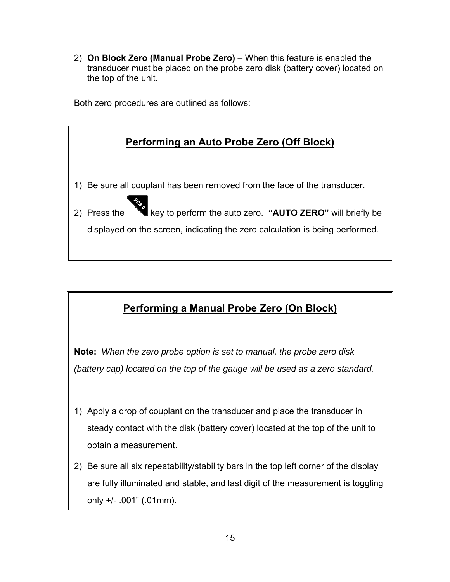2) **On Block Zero (Manual Probe Zero)** – When this feature is enabled the transducer must be placed on the probe zero disk (battery cover) located on the top of the unit.

Both zero procedures are outlined as follows:



# **Performing a Manual Probe Zero (On Block)**

**Note:** *When the zero probe option is set to manual, the probe zero disk (battery cap) located on the top of the gauge will be used as a zero standard.*

- 1) Apply a drop of couplant on the transducer and place the transducer in steady contact with the disk (battery cover) located at the top of the unit to obtain a measurement.
- 2) Be sure all six repeatability/stability bars in the top left corner of the display are fully illuminated and stable, and last digit of the measurement is toggling only +/- .001" (.01mm).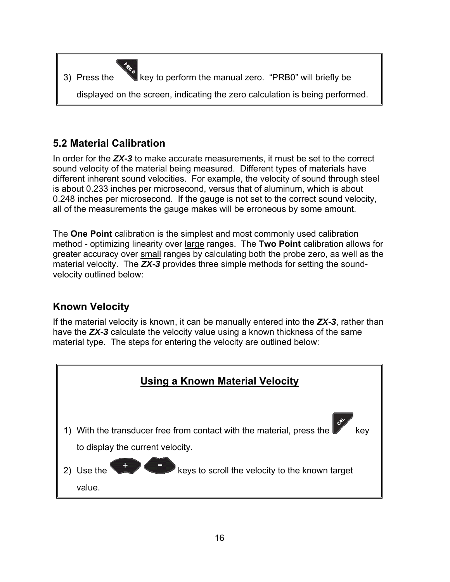

## **5.2 Material Calibration**

In order for the *ZX-3* to make accurate measurements, it must be set to the correct sound velocity of the material being measured. Different types of materials have different inherent sound velocities. For example, the velocity of sound through steel is about 0.233 inches per microsecond, versus that of aluminum, which is about 0.248 inches per microsecond. If the gauge is not set to the correct sound velocity, all of the measurements the gauge makes will be erroneous by some amount.

The **One Point** calibration is the simplest and most commonly used calibration method - optimizing linearity over large ranges. The **Two Point** calibration allows for greater accuracy over small ranges by calculating both the probe zero, as well as the material velocity. The *ZX-3* provides three simple methods for setting the soundvelocity outlined below:

## **Known Velocity**

If the material velocity is known, it can be manually entered into the *ZX-3*, rather than have the *ZX-3* calculate the velocity value using a known thickness of the same material type. The steps for entering the velocity are outlined below:

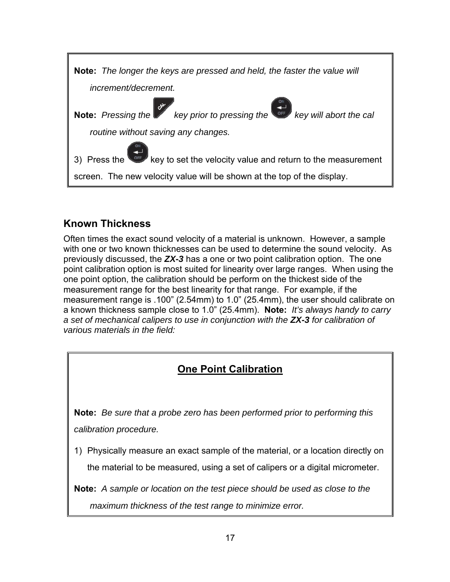

## **Known Thickness**

Often times the exact sound velocity of a material is unknown. However, a sample with one or two known thicknesses can be used to determine the sound velocity. As previously discussed, the *ZX-3* has a one or two point calibration option. The one point calibration option is most suited for linearity over large ranges. When using the one point option, the calibration should be perform on the thickest side of the measurement range for the best linearity for that range. For example, if the measurement range is .100" (2.54mm) to 1.0" (25.4mm), the user should calibrate on a known thickness sample close to 1.0" (25.4mm). **Note:** *It's always handy to carry a set of mechanical calipers to use in conjunction with the ZX-3 for calibration of various materials in the field:*

## **One Point Calibration**

**Note:** *Be sure that a probe zero has been performed prior to performing this calibration procedure.*

1) Physically measure an exact sample of the material, or a location directly on the material to be measured, using a set of calipers or a digital micrometer.

**Note:** *A sample or location on the test piece should be used as close to the maximum thickness of the test range to minimize error.*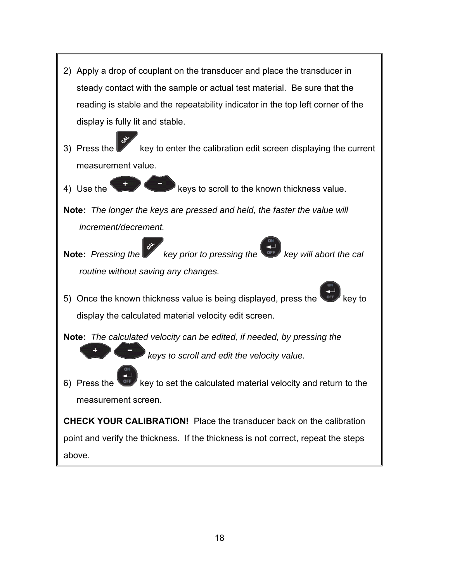2) Apply a drop of couplant on the transducer and place the transducer in steady contact with the sample or actual test material. Be sure that the reading is stable and the repeatability indicator in the top left corner of the display is fully lit and stable. 3) Press the key to enter the calibration edit screen displaying the current measurement value. 4) Use the keys to scroll to the known thickness value. **Note:** *The longer the keys are pressed and held, the faster the value will increment/decrement.* **Note:** *Pressing the key prior to pressing the Rey will abort the call routine without saving any changes.* 5) Once the known thickness value is being displayed, press the display the calculated material velocity edit screen. **Note:** *The calculated velocity can be edited, if needed, by pressing the keys to scroll and edit the velocity value.* 6) Press the  $\sqrt{or}$  key to set the calculated material velocity and return to the measurement screen. **CHECK YOUR CALIBRATION!** Place the transducer back on the calibration point and verify the thickness. If the thickness is not correct, repeat the steps above.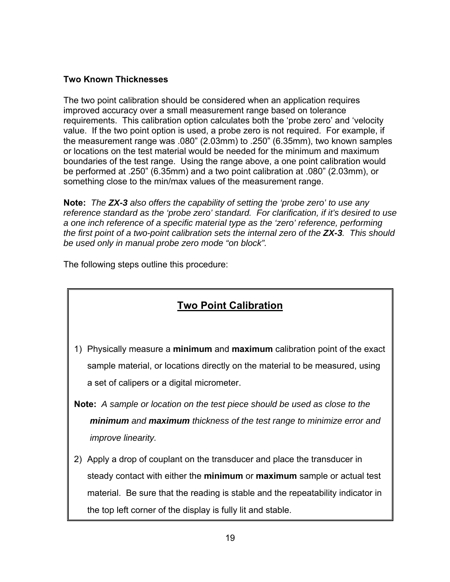#### **Two Known Thicknesses**

The two point calibration should be considered when an application requires improved accuracy over a small measurement range based on tolerance requirements. This calibration option calculates both the 'probe zero' and 'velocity value. If the two point option is used, a probe zero is not required. For example, if the measurement range was .080" (2.03mm) to .250" (6.35mm), two known samples or locations on the test material would be needed for the minimum and maximum boundaries of the test range. Using the range above, a one point calibration would be performed at .250" (6.35mm) and a two point calibration at .080" (2.03mm), or something close to the min/max values of the measurement range.

**Note:** *The ZX-3 also offers the capability of setting the 'probe zero' to use any reference standard as the 'probe zero' standard. For clarification, if it's desired to use a one inch reference of a specific material type as the 'zero' reference, performing the first point of a two-point calibration sets the internal zero of the ZX-3. This should be used only in manual probe zero mode "on block".*

The following steps outline this procedure:

## **Two Point Calibration**

- 1) Physically measure a **minimum** and **maximum** calibration point of the exact sample material, or locations directly on the material to be measured, using a set of calipers or a digital micrometer.
- **Note:** *A sample or location on the test piece should be used as close to the minimum and maximum thickness of the test range to minimize error and improve linearity.*
- 2) Apply a drop of couplant on the transducer and place the transducer in steady contact with either the **minimum** or **maximum** sample or actual test material. Be sure that the reading is stable and the repeatability indicator in the top left corner of the display is fully lit and stable.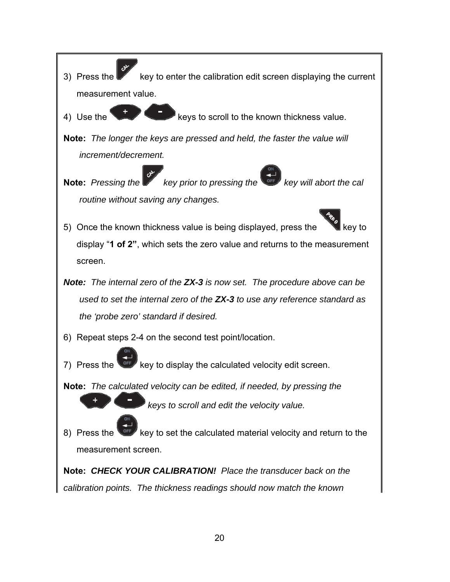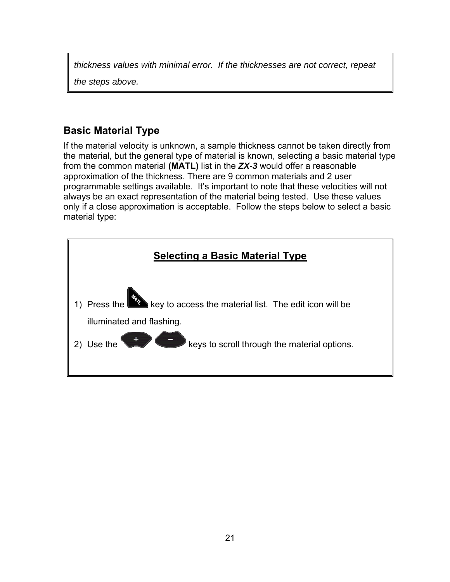*thickness values with minimal error. If the thicknesses are not correct, repeat* 

*the steps above.*

## **Basic Material Type**

If the material velocity is unknown, a sample thickness cannot be taken directly from the material, but the general type of material is known, selecting a basic material type from the common material **(MATL)** list in the *ZX-3* would offer a reasonable approximation of the thickness. There are 9 common materials and 2 user programmable settings available. It's important to note that these velocities will not always be an exact representation of the material being tested. Use these values only if a close approximation is acceptable. Follow the steps below to select a basic material type:

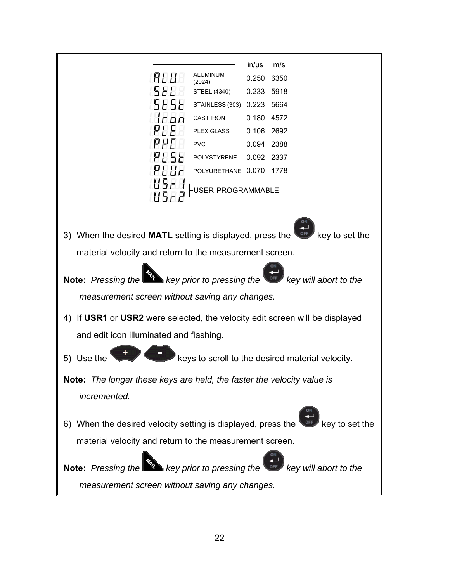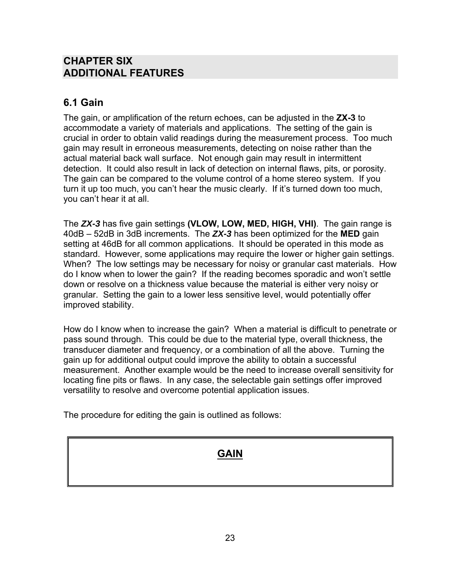### **CHAPTER SIX ADDITIONAL FEATURES**

### **6.1 Gain**

The gain, or amplification of the return echoes, can be adjusted in the **ZX-3** to accommodate a variety of materials and applications. The setting of the gain is crucial in order to obtain valid readings during the measurement process. Too much gain may result in erroneous measurements, detecting on noise rather than the actual material back wall surface. Not enough gain may result in intermittent detection. It could also result in lack of detection on internal flaws, pits, or porosity. The gain can be compared to the volume control of a home stereo system. If you turn it up too much, you can't hear the music clearly. If it's turned down too much, you can't hear it at all.

The *ZX-3* has five gain settings **(VLOW, LOW, MED, HIGH, VHI)**. The gain range is 40dB – 52dB in 3dB increments. The *ZX-3* has been optimized for the **MED** gain setting at 46dB for all common applications. It should be operated in this mode as standard. However, some applications may require the lower or higher gain settings. When? The low settings may be necessary for noisy or granular cast materials. How do I know when to lower the gain? If the reading becomes sporadic and won't settle down or resolve on a thickness value because the material is either very noisy or granular. Setting the gain to a lower less sensitive level, would potentially offer improved stability.

How do I know when to increase the gain? When a material is difficult to penetrate or pass sound through. This could be due to the material type, overall thickness, the transducer diameter and frequency, or a combination of all the above. Turning the gain up for additional output could improve the ability to obtain a successful measurement. Another example would be the need to increase overall sensitivity for locating fine pits or flaws. In any case, the selectable gain settings offer improved versatility to resolve and overcome potential application issues.

The procedure for editing the gain is outlined as follows:

### **GAIN**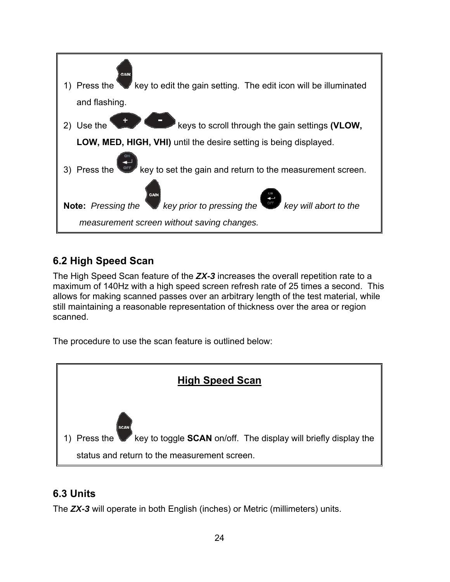

### **6.2 High Speed Scan**

The High Speed Scan feature of the *ZX-3* increases the overall repetition rate to a maximum of 140Hz with a high speed screen refresh rate of 25 times a second. This allows for making scanned passes over an arbitrary length of the test material, while still maintaining a reasonable representation of thickness over the area or region scanned.

The procedure to use the scan feature is outlined below:



## **6.3 Units**

The *ZX-3* will operate in both English (inches) or Metric (millimeters) units.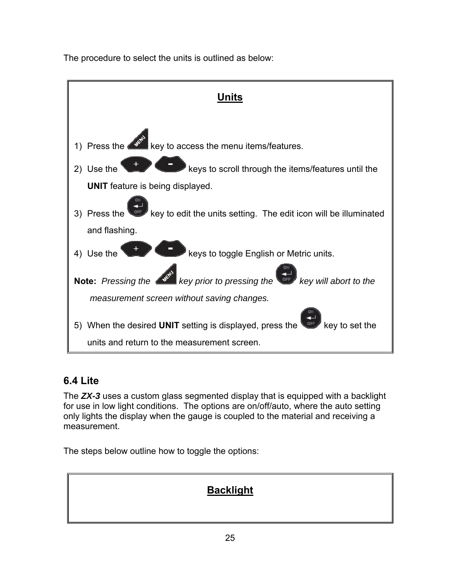The procedure to select the units is outlined as below:



### **6.4 Lite**

The *ZX-3* uses a custom glass segmented display that is equipped with a backlight for use in low light conditions. The options are on/off/auto, where the auto setting only lights the display when the gauge is coupled to the material and receiving a measurement.

The steps below outline how to toggle the options:

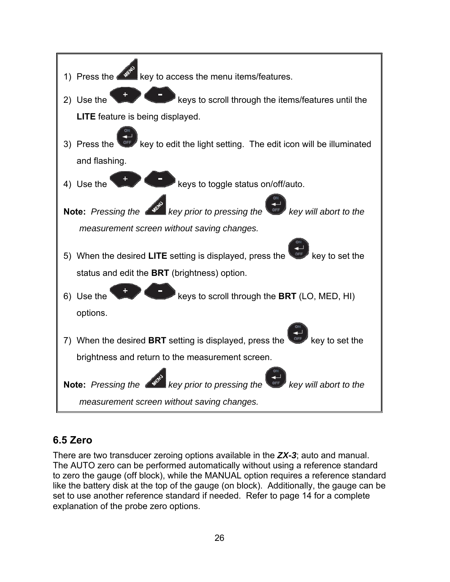

## **6.5 Zero**

There are two transducer zeroing options available in the *ZX-3*; auto and manual. The AUTO zero can be performed automatically without using a reference standard to zero the gauge (off block), while the MANUAL option requires a reference standard like the battery disk at the top of the gauge (on block). Additionally, the gauge can be set to use another reference standard if needed. Refer to page 14 for a complete explanation of the probe zero options.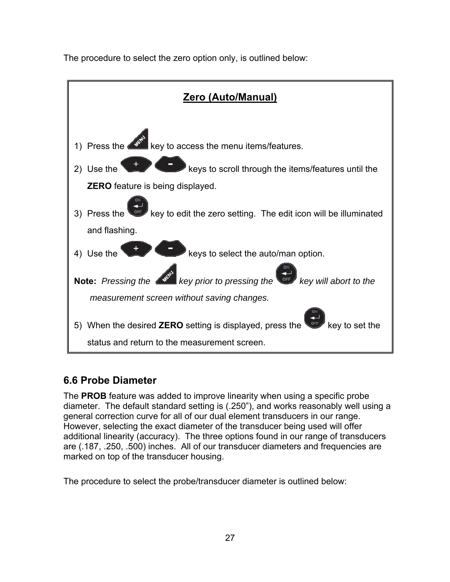The procedure to select the zero option only, is outlined below:



## **6.6 Probe Diameter**

The **PROB** feature was added to improve linearity when using a specific probe diameter. The default standard setting is (.250"), and works reasonably well using a general correction curve for all of our dual element transducers in our range. However, selecting the exact diameter of the transducer being used will offer additional linearity (accuracy). The three options found in our range of transducers are (.187, .250, .500) inches. All of our transducer diameters and frequencies are marked on top of the transducer housing.

The procedure to select the probe/transducer diameter is outlined below: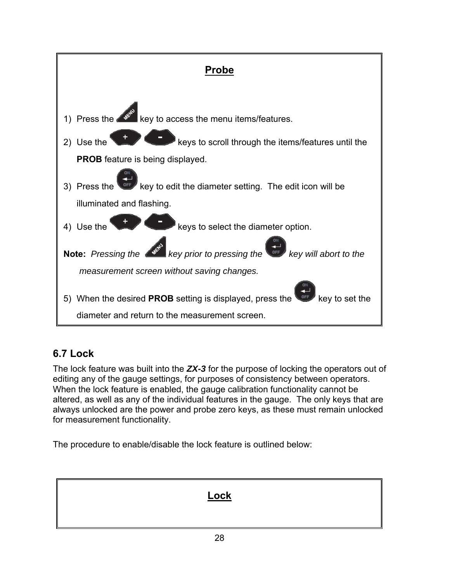

## **6.7 Lock**

The lock feature was built into the *ZX-3* for the purpose of locking the operators out of editing any of the gauge settings, for purposes of consistency between operators. When the lock feature is enabled, the gauge calibration functionality cannot be altered, as well as any of the individual features in the gauge. The only keys that are always unlocked are the power and probe zero keys, as these must remain unlocked for measurement functionality.

The procedure to enable/disable the lock feature is outlined below: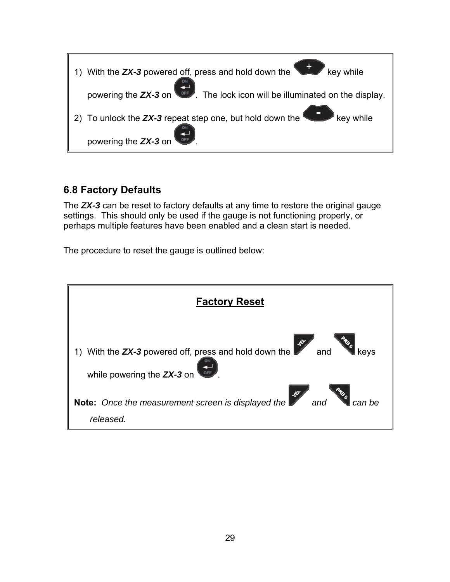

### **6.8 Factory Defaults**

The *ZX-3* can be reset to factory defaults at any time to restore the original gauge settings. This should only be used if the gauge is not functioning properly, or perhaps multiple features have been enabled and a clean start is needed.

The procedure to reset the gauge is outlined below:

| <b>Factory Reset</b>                                                                                      |
|-----------------------------------------------------------------------------------------------------------|
| 1) With the <b>ZX-3</b> powered off, press and hold down the<br>and<br>kevs<br>while powering the ZX-3 on |
| Note: Once the measurement screen is displayed the<br>can be<br>released.                                 |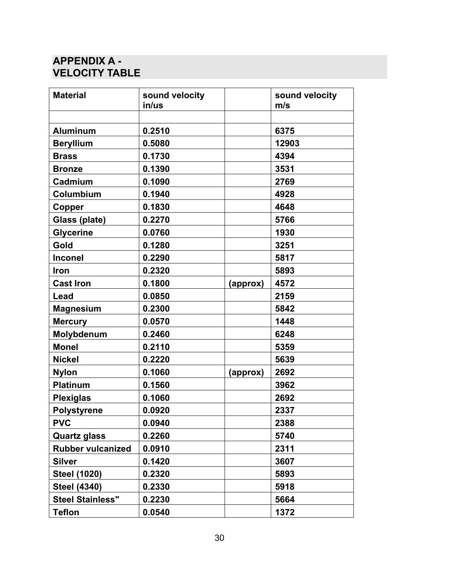## **APPENDIX A - VELOCITY TABLE**

| <b>Material</b>          | sound velocity<br>in/us |          | sound velocity<br>m/s |
|--------------------------|-------------------------|----------|-----------------------|
|                          |                         |          |                       |
| <b>Aluminum</b>          | 0.2510                  |          | 6375                  |
| <b>Beryllium</b>         | 0.5080                  |          | 12903                 |
| <b>Brass</b>             | 0.1730                  |          | 4394                  |
| <b>Bronze</b>            | 0.1390                  |          | 3531                  |
| Cadmium                  | 0.1090                  |          | 2769                  |
| Columbium                | 0.1940                  |          | 4928                  |
| Copper                   | 0.1830                  |          | 4648                  |
| Glass (plate)            | 0.2270                  |          | 5766                  |
| <b>Glycerine</b>         | 0.0760                  |          | 1930                  |
| Gold                     | 0.1280                  |          | 3251                  |
| <b>Inconel</b>           | 0.2290                  |          | 5817                  |
| Iron                     | 0.2320                  |          | 5893                  |
| <b>Cast Iron</b>         | 0.1800                  | (approx) | 4572                  |
| Lead                     | 0.0850                  |          | 2159                  |
| <b>Magnesium</b>         | 0.2300                  |          | 5842                  |
| <b>Mercury</b>           | 0.0570                  |          | 1448                  |
| Molybdenum               | 0.2460                  |          | 6248                  |
| <b>Monel</b>             | 0.2110                  |          | 5359                  |
| <b>Nickel</b>            | 0.2220                  |          | 5639                  |
| <b>Nylon</b>             | 0.1060                  | (approx) | 2692                  |
| <b>Platinum</b>          | 0.1560                  |          | 3962                  |
| <b>Plexiglas</b>         | 0.1060                  |          | 2692                  |
| <b>Polystyrene</b>       | 0.0920                  |          | 2337                  |
| <b>PVC</b>               | 0.0940                  |          | 2388                  |
| <b>Quartz glass</b>      | 0.2260                  |          | 5740                  |
| <b>Rubber vulcanized</b> | 0.0910                  |          | 2311                  |
| <b>Silver</b>            | 0.1420                  |          | 3607                  |
| <b>Steel (1020)</b>      | 0.2320                  |          | 5893                  |
| <b>Steel (4340)</b>      | 0.2330                  |          | 5918                  |
| <b>Steel Stainless"</b>  | 0.2230                  |          | 5664                  |
| <b>Teflon</b>            | 0.0540                  |          | 1372                  |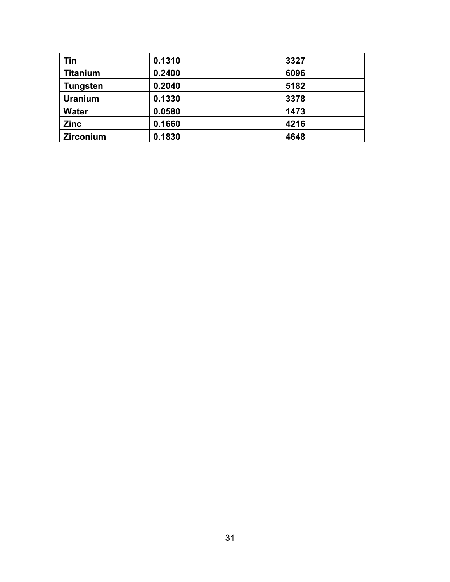| Tin             | 0.1310 | 3327 |
|-----------------|--------|------|
| <b>Titanium</b> | 0.2400 | 6096 |
| <b>Tungsten</b> | 0.2040 | 5182 |
| <b>Uranium</b>  | 0.1330 | 3378 |
| <b>Water</b>    | 0.0580 | 1473 |
| <b>Zinc</b>     | 0.1660 | 4216 |
| Zirconium       | 0.1830 | 4648 |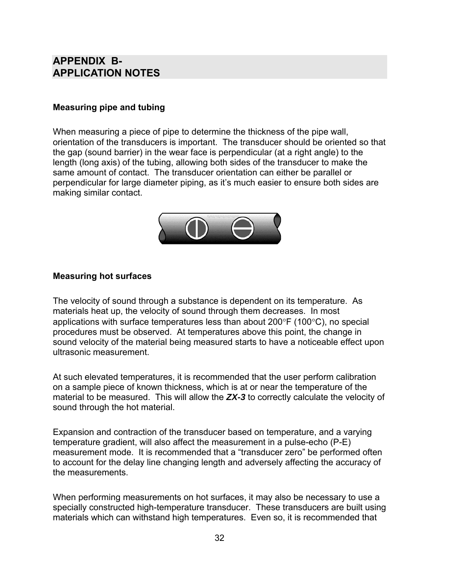### **APPENDIX B-APPLICATION NOTES**

#### **Measuring pipe and tubing**

When measuring a piece of pipe to determine the thickness of the pipe wall, orientation of the transducers is important. The transducer should be oriented so that the gap (sound barrier) in the wear face is perpendicular (at a right angle) to the length (long axis) of the tubing, allowing both sides of the transducer to make the same amount of contact. The transducer orientation can either be parallel or perpendicular for large diameter piping, as it's much easier to ensure both sides are making similar contact.



#### **Measuring hot surfaces**

The velocity of sound through a substance is dependent on its temperature. As materials heat up, the velocity of sound through them decreases. In most applications with surface temperatures less than about  $200^{\circ}$ F (100 $^{\circ}$ C), no special procedures must be observed. At temperatures above this point, the change in sound velocity of the material being measured starts to have a noticeable effect upon ultrasonic measurement.

At such elevated temperatures, it is recommended that the user perform calibration on a sample piece of known thickness, which is at or near the temperature of the material to be measured. This will allow the *ZX-3* to correctly calculate the velocity of sound through the hot material.

Expansion and contraction of the transducer based on temperature, and a varying temperature gradient, will also affect the measurement in a pulse-echo (P-E) measurement mode. It is recommended that a "transducer zero" be performed often to account for the delay line changing length and adversely affecting the accuracy of the measurements.

When performing measurements on hot surfaces, it may also be necessary to use a specially constructed high-temperature transducer. These transducers are built using materials which can withstand high temperatures. Even so, it is recommended that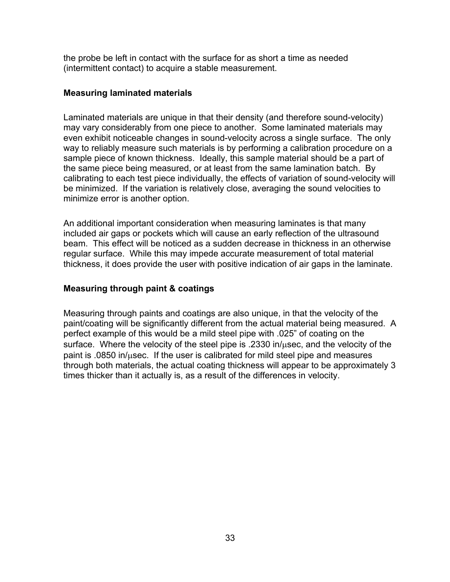the probe be left in contact with the surface for as short a time as needed (intermittent contact) to acquire a stable measurement.

#### **Measuring laminated materials**

Laminated materials are unique in that their density (and therefore sound-velocity) may vary considerably from one piece to another. Some laminated materials may even exhibit noticeable changes in sound-velocity across a single surface. The only way to reliably measure such materials is by performing a calibration procedure on a sample piece of known thickness. Ideally, this sample material should be a part of the same piece being measured, or at least from the same lamination batch. By calibrating to each test piece individually, the effects of variation of sound-velocity will be minimized. If the variation is relatively close, averaging the sound velocities to minimize error is another option.

An additional important consideration when measuring laminates is that many included air gaps or pockets which will cause an early reflection of the ultrasound beam. This effect will be noticed as a sudden decrease in thickness in an otherwise regular surface. While this may impede accurate measurement of total material thickness, it does provide the user with positive indication of air gaps in the laminate.

#### **Measuring through paint & coatings**

Measuring through paints and coatings are also unique, in that the velocity of the paint/coating will be significantly different from the actual material being measured. A perfect example of this would be a mild steel pipe with .025" of coating on the surface. Where the velocity of the steel pipe is  $.2330$  in/ $\mu$ sec, and the velocity of the paint is  $.0850$  in/ $\mu$ sec. If the user is calibrated for mild steel pipe and measures through both materials, the actual coating thickness will appear to be approximately 3 times thicker than it actually is, as a result of the differences in velocity.